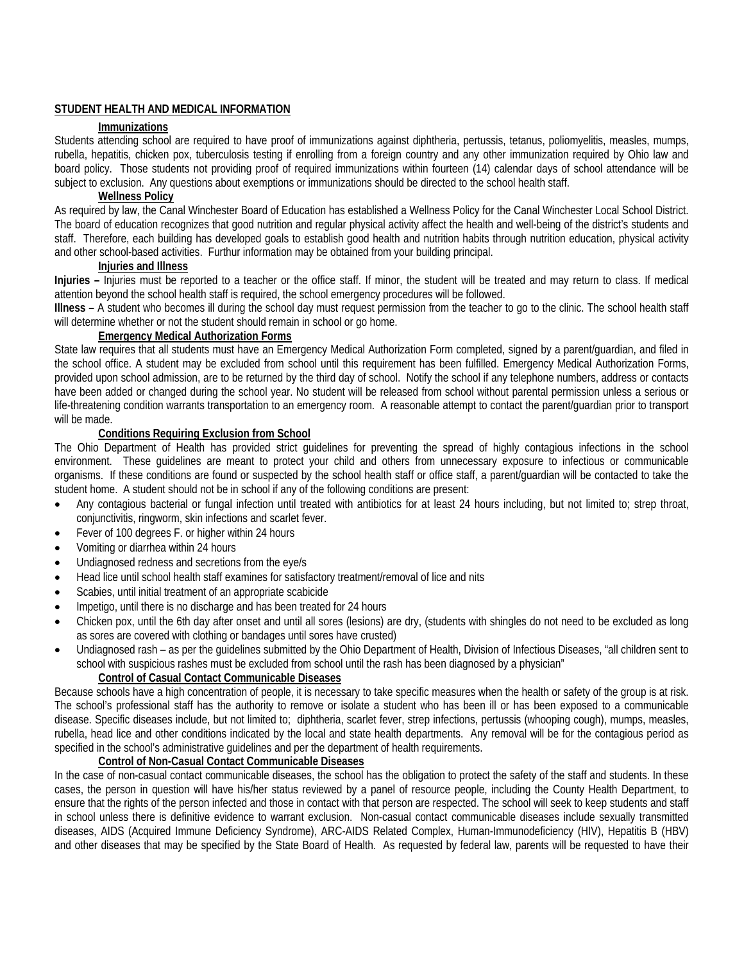## **STUDENT HEALTH AND MEDICAL INFORMATION**

## **Immunizations**

Students attending school are required to have proof of immunizations against diphtheria, pertussis, tetanus, poliomyelitis, measles, mumps, rubella, hepatitis, chicken pox, tuberculosis testing if enrolling from a foreign country and any other immunization required by Ohio law and board policy. Those students not providing proof of required immunizations within fourteen (14) calendar days of school attendance will be subject to exclusion. Any questions about exemptions or immunizations should be directed to the school health staff.

### **Wellness Policy**

As required by law, the Canal Winchester Board of Education has established a Wellness Policy for the Canal Winchester Local School District. The board of education recognizes that good nutrition and regular physical activity affect the health and well-being of the district's students and staff. Therefore, each building has developed goals to establish good health and nutrition habits through nutrition education, physical activity and other school-based activities. Furthur information may be obtained from your building principal.

### **Injuries and Illness**

**Injuries –** Injuries must be reported to a teacher or the office staff. If minor, the student will be treated and may return to class. If medical attention beyond the school health staff is required, the school emergency procedures will be followed.

**Illness –** A student who becomes ill during the school day must request permission from the teacher to go to the clinic. The school health staff will determine whether or not the student should remain in school or go home.

# **Emergency Medical Authorization Forms**

State law requires that all students must have an Emergency Medical Authorization Form completed, signed by a parent/guardian, and filed in the school office. A student may be excluded from school until this requirement has been fulfilled. Emergency Medical Authorization Forms, provided upon school admission, are to be returned by the third day of school. Notify the school if any telephone numbers, address or contacts have been added or changed during the school year. No student will be released from school without parental permission unless a serious or life-threatening condition warrants transportation to an emergency room. A reasonable attempt to contact the parent/guardian prior to transport will be made.

# **Conditions Requiring Exclusion from School**

The Ohio Department of Health has provided strict guidelines for preventing the spread of highly contagious infections in the school environment. These guidelines are meant to protect your child and others from unnecessary exposure to infectious or communicable organisms. If these conditions are found or suspected by the school health staff or office staff, a parent/guardian will be contacted to take the student home. A student should not be in school if any of the following conditions are present:

- Any contagious bacterial or fungal infection until treated with antibiotics for at least 24 hours including, but not limited to; strep throat, conjunctivitis, ringworm, skin infections and scarlet fever.
- Fever of 100 degrees F. or higher within 24 hours
- Vomiting or diarrhea within 24 hours
- Undiagnosed redness and secretions from the eye/s
- Head lice until school health staff examines for satisfactory treatment/removal of lice and nits
- Scabies, until initial treatment of an appropriate scabicide
- Impetigo, until there is no discharge and has been treated for 24 hours
- Chicken pox, until the 6th day after onset and until all sores (lesions) are dry, (students with shingles do not need to be excluded as long as sores are covered with clothing or bandages until sores have crusted)
- Undiagnosed rash as per the guidelines submitted by the Ohio Department of Health, Division of Infectious Diseases, "all children sent to school with suspicious rashes must be excluded from school until the rash has been diagnosed by a physician"

# **Control of Casual Contact Communicable Diseases**

Because schools have a high concentration of people, it is necessary to take specific measures when the health or safety of the group is at risk. The school's professional staff has the authority to remove or isolate a student who has been ill or has been exposed to a communicable disease. Specific diseases include, but not limited to; diphtheria, scarlet fever, strep infections, pertussis (whooping cough), mumps, measles, rubella, head lice and other conditions indicated by the local and state health departments. Any removal will be for the contagious period as specified in the school's administrative guidelines and per the department of health requirements.

# **Control of Non-Casual Contact Communicable Diseases**

In the case of non-casual contact communicable diseases, the school has the obligation to protect the safety of the staff and students. In these cases, the person in question will have his/her status reviewed by a panel of resource people, including the County Health Department, to ensure that the rights of the person infected and those in contact with that person are respected. The school will seek to keep students and staff in school unless there is definitive evidence to warrant exclusion. Non-casual contact communicable diseases include sexually transmitted diseases, AIDS (Acquired Immune Deficiency Syndrome), ARC-AIDS Related Complex, Human-Immunodeficiency (HIV), Hepatitis B (HBV) and other diseases that may be specified by the State Board of Health. As requested by federal law, parents will be requested to have their